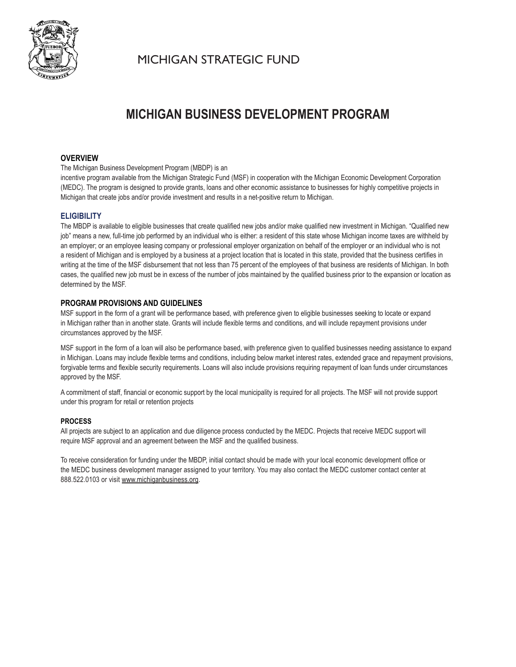

MICHIGAN STRATEGIC FUND

# **MICHIGAN BUSINESS DEVELOPMENT PROGRAM**

# **OVERVIEW**

The Michigan Business Development Program (MBDP) is an

incentive program available from the Michigan Strategic Fund (MSF) in cooperation with the Michigan Economic Development Corporation (MEDC). The program is designed to provide grants, loans and other economic assistance to businesses for highly competitive projects in Michigan that create jobs and/or provide investment and results in a net-positive return to Michigan.

# **ELIGIBILITY**

The MBDP is available to eligible businesses that create qualified new jobs and/or make qualified new investment in Michigan. "Qualified new job" means a new, full-time job performed by an individual who is either: a resident of this state whose Michigan income taxes are withheld by an employer; or an employee leasing company or professional employer organization on behalf of the employer or an individual who is not a resident of Michigan and is employed by a business at a project location that is located in this state, provided that the business certifies in writing at the time of the MSF disbursement that not less than 75 percent of the employees of that business are residents of Michigan. In both cases, the qualified new job must be in excess of the number of jobs maintained by the qualified business prior to the expansion or location as determined by the MSF.

### **PROGRAM PROVISIONS AND GUIDELINES**

MSF support in the form of a grant will be performance based, with preference given to eligible businesses seeking to locate or expand in Michigan rather than in another state. Grants will include flexible terms and conditions, and will include repayment provisions under circumstances approved by the MSF.

MSF support in the form of a loan will also be performance based, with preference given to qualified businesses needing assistance to expand in Michigan. Loans may include flexible terms and conditions, including below market interest rates, extended grace and repayment provisions, forgivable terms and flexible security requirements. Loans will also include provisions requiring repayment of loan funds under circumstances approved by the MSF.

A commitment of staff, financial or economic support by the local municipality is required for all projects. The MSF will not provide support under this program for retail or retention projects

### **PROCESS**

All projects are subject to an application and due diligence process conducted by the MEDC. Projects that receive MEDC support will require MSF approval and an agreement between the MSF and the qualified business.

To receive consideration for funding under the MBDP, initial contact should be made with your local economic development office or the MEDC business development manager assigned to your territory. You may also contact the MEDC customer contact center at 888.522.0103 or visit www.michiganbusiness.org.